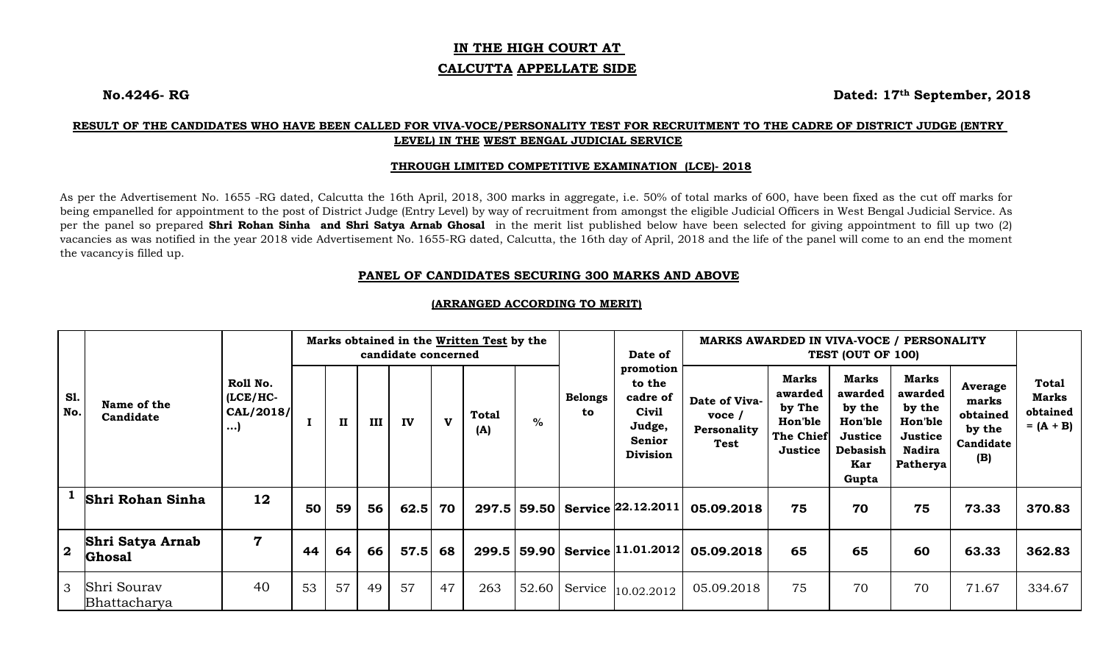# **IN THE HIGH COURT AT**

#### **CALCUTTA APPELLATE SIDE**

**No.4246- RG Dated: 17th September, 2018** 

# **RESULT OF THE CANDIDATES WHO HAVE BEEN CALLED FOR VIVA-VOCE/PERSONALITY TEST FOR RECRUITMENT TO THE CADRE OF DISTRICT JUDGE (ENTRY LEVEL) IN THE WEST BENGAL JUDICIAL SERVICE**

#### **THROUGH LIMITED COMPETITIVE EXAMINATION (LCE)- 2018**

As per the Advertisement No. 1655 -RG dated, Calcutta the 16th April, 2018, 300 marks in aggregate, i.e. 50% of total marks of 600, have been fixed as the cut off marks for being empanelled for appointment to the post of District Judge (Entry Level) by way of recruitment from amongst the eligible Judicial Officers in West Bengal Judicial Service. As per the panel so prepared **Shri Rohan Sinha and Shri Satya Arnab Ghosal** in the merit list published below have been selected for giving appointment to fill up two (2) vacancies as was notified in the year 2018 vide Advertisement No. 1655-RG dated, Calcutta, the 16th day of April, 2018 and the life of the panel will come to an end the moment the vacancy is filled up.

## **PANEL OF CANDIDATES SECURING 300 MARKS AND ABOVE**

|                   |                                          |                                                  |    |    |     | candidate concerned |              | Marks obtained in the Written Test by the |       |                      | Date of<br>promotion<br>to the<br>cadre of<br>Civil<br>Judge,<br><b>Senior</b><br><b>Division</b> | MARKS AWARDED IN VIVA-VOCE / PERSONALITY                   |                                                                             |                                                                                            |                                                                                             |                                                            |                                                  |
|-------------------|------------------------------------------|--------------------------------------------------|----|----|-----|---------------------|--------------|-------------------------------------------|-------|----------------------|---------------------------------------------------------------------------------------------------|------------------------------------------------------------|-----------------------------------------------------------------------------|--------------------------------------------------------------------------------------------|---------------------------------------------------------------------------------------------|------------------------------------------------------------|--------------------------------------------------|
| <b>S1.</b><br>No. | Name of the<br>Candidate                 | Roll No.<br>$(ICE/HC -$<br>CAL/2018/<br>$\ldots$ |    | 11 | III | IV                  | $\mathbf{v}$ | Total<br>(A)                              | $\%$  | <b>Belongs</b><br>to |                                                                                                   | Date of Viva-<br>$\mathbf{v}$ oce /<br>Personality<br>Test | <b>Marks</b><br>awarded<br>by The<br>Hon'ble<br><b>The Chief</b><br>Justice | Marks<br>awarded<br>by the<br><b>Hon'ble</b><br>Justice<br><b>Debasish</b><br>Kar<br>Gupta | <b>Marks</b><br>awarded<br>by the<br><b>Hon'ble</b><br>Justice<br><b>Nadira</b><br>Patherya | Average<br>marks<br>obtained<br>by the<br>Candidate<br>(B) | Total<br><b>Marks</b><br>obtained<br>$= (A + B)$ |
|                   | Shri Rohan Sinha                         | 12                                               | 50 | 59 | 56  | 62.5                | 70           |                                           |       |                      | 297.5   59.50   Service 22.12.2011                                                                | 05.09.2018                                                 | 75                                                                          | 70                                                                                         | 75                                                                                          | 73.33                                                      | 370.83                                           |
| $\overline{2}$    | <b>Shri Satya Arnab</b><br><b>Ghosal</b> | $\overline{\mathbf{7}}$                          | 44 | 64 | 66  | 57.5                | 68           |                                           |       |                      | 299.5   59.90   Service   11.01.2012                                                              | 05.09.2018                                                 | 65                                                                          | 65                                                                                         | 60                                                                                          | 63.33                                                      | 362.83                                           |
| 3                 | Shri Sourav<br>Bhattacharya              | 40                                               | 53 | 57 | 49  | 57                  | 47           | 263                                       | 52.60 |                      | Service $ 10.02.2012\rangle$                                                                      | 05.09.2018                                                 | 75                                                                          | 70                                                                                         | 70                                                                                          | 71.67                                                      | 334.67                                           |

## **(ARRANGED ACCORDING TO MERIT)**